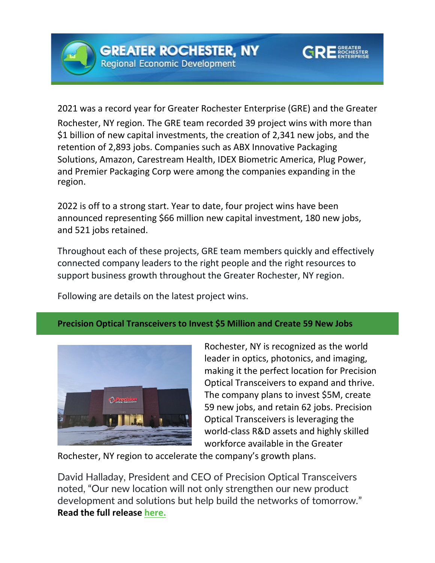



2021 was a record year for Greater Rochester Enterprise (GRE) and the Greater Rochester, NY region. The GRE team recorded 39 project wins with more than \$1 billion of new capital investments, the creation of 2,341 new jobs, and the retention of 2,893 jobs. Companies such as ABX Innovative Packaging Solutions, Amazon, Carestream Health, IDEX Biometric America, Plug Power, and Premier Packaging Corp were among the companies expanding in the region.

2022 is off to a strong start. Year to date, four project wins have been announced representing \$66 million new capital investment, 180 new jobs, and 521 jobs retained.

Throughout each of these projects, GRE team members quickly and effectively connected company leaders to the right people and the right resources to support business growth throughout the Greater Rochester, NY region.

Following are details on the latest project wins.

## **Precision Optical Transceivers to Invest \$5 Million and Create 59 New Jobs**



Rochester, NY is recognized as the world leader in optics, photonics, and imaging, making it the perfect location for Precision Optical Transceivers to expand and thrive. The company plans to invest \$5M, create 59 new jobs, and retain 62 jobs. Precision Optical Transceivers is leveraging the world-class R&D assets and highly skilled workforce available in the Greater

Rochester, NY region to accelerate the company's growth plans.

David Halladay, President and CEO of Precision Optical Transceivers noted, "Our new location will not only strengthen our new product development and solutions but help build the networks of tomorrow." **Read the full release [here.](https://rochesterbiz.com/precision-optical-transceivers-expands-manufacturing-operations-in-monroe-county/)**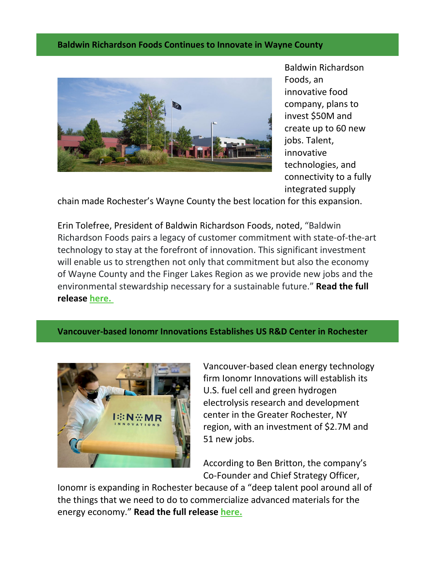## **Baldwin Richardson Foods Continues to Innovate in Wayne County**



Baldwin Richardson Foods, an innovative food company, plans to invest \$50M and create up to 60 new jobs. Talent, innovative technologies, and connectivity to a fully integrated supply

chain made Rochester's Wayne County the best location for this expansion.

Erin Tolefree, President of Baldwin Richardson Foods, noted, "Baldwin Richardson Foods pairs a legacy of customer commitment with state-of-the-art technology to stay at the forefront of innovation. This significant investment will enable us to strengthen not only that commitment but also the economy of Wayne County and the Finger Lakes Region as we provide new jobs and the environmental stewardship necessary for a sustainable future." **Read the full release [here.](https://rochesterbiz.com/baldwin-richardson-to-invest-50m-to-upgrade-its-macedon-and-williamson-facilities/)** 

**Vancouver-based Ionomr Innovations Establishes US R&D Center in Rochester**



Vancouver-based clean energy technology firm Ionomr Innovations will establish its U.S. fuel cell and green hydrogen electrolysis research and development center in the Greater Rochester, NY region, with an investment of \$2.7M and 51 new jobs.

According to Ben Britton, the company's Co-Founder and Chief Strategy Officer,

Ionomr is expanding in Rochester because of a "deep talent pool around all of the things that we need to do to commercialize advanced materials for the energy economy." **Read the full release [here.](https://rochesterbiz.com/vancouver-based-ionomr-will-establish-rd-facility-in-rochester/)**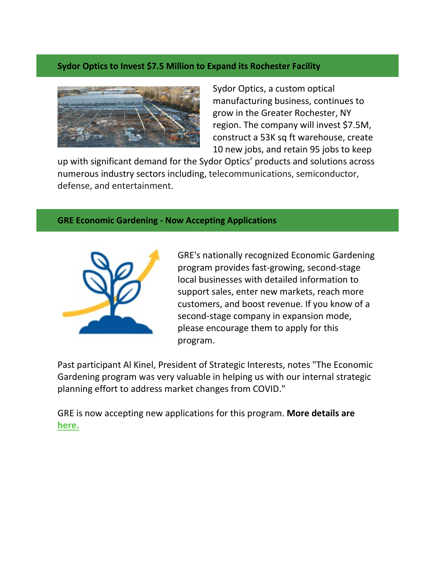## **Sydor Optics to Invest \$7.5 Million to Expand its Rochester Facility**



Sydor Optics, a custom optical manufacturing business, continues to grow in the Greater Rochester, NY region. The company will invest \$7.5M, construct a 53K sq ft warehouse, create 10 new jobs, and retain 95 jobs to keep

up with significant demand for the Sydor Optics' products and solutions across numerous industry sectors including, telecommunications, semiconductor, defense, and entertainment.

## **GRE Economic Gardening - Now Accepting Applications**



GRE's nationally recognized Economic Gardening program provides fast-growing, second-stage local businesses with detailed information to support sales, enter new markets, reach more customers, and boost revenue. If you know of a second-stage company in expansion mode, please encourage them to apply for this program.

Past participant Al Kinel, President of Strategic Interests, notes "The Economic Gardening program was very valuable in helping us with our internal strategic planning effort to address market changes from COVID."

GRE is now accepting new applications for this program. **More details are [here.](https://rochesterbiz.com/economic-gardening/)**